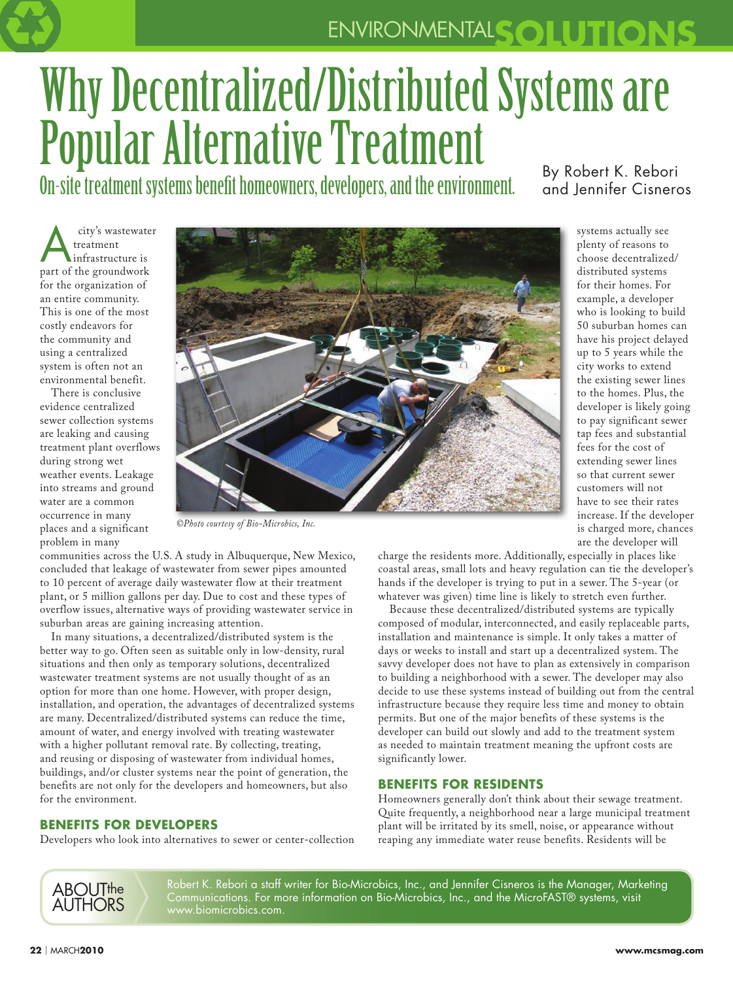## ENVIRONMENTAL**SOLUTIONS**

# Why Decentralized/Distributed Systems are Popular Alternative Treatment

On-site treatment systems benefit homeowners, developers, and the environment. By Robert K. Rebori

and Jennifer Cisneros

systems actually see plenty of reasons to choose decentralized/ distributed systems for their homes. For example, a developer who is looking to build 50 suburban homes can have his project delayed up to 5 years while the city works to extend the existing sewer lines to the homes. Plus, the developer is likely going to pay significant sewer tap fees and substantial fees for the cost of extending sewer lines so that current sewer customers will not have to see their rates increase. If the developer is charged more, chances are the developer will

city's wastewater<br>
treatment<br>
infrastructure is treatment part of the groundwork for the organization of an entire community. This is one of the most costly endeavors for the community and using a centralized system is often not an environmental benefit.

There is conclusive evidence centralized sewer collection systems are leaking and causing treatment plant overflows during strong wet weather events. Leakage into streams and ground water are a common occurrence in many places and a significant problem in many



*©Photo courtesy of Bio-Microbics, Inc.*

communities across the U.S. A study in Albuquerque, New Mexico, concluded that leakage of wastewater from sewer pipes amounted to 10 percent of average daily wastewater flow at their treatment plant, or 5 million gallons per day. Due to cost and these types of overflow issues, alternative ways of providing wastewater service in suburban areas are gaining increasing attention.

In many situations, a decentralized/distributed system is the better way to go. Often seen as suitable only in low-density, rural situations and then only as temporary solutions, decentralized wastewater treatment systems are not usually thought of as an option for more than one home. However, with proper design, installation, and operation, the advantages of decentralized systems are many. Decentralized/distributed systems can reduce the time, amount of water, and energy involved with treating wastewater with a higher pollutant removal rate. By collecting, treating, and reusing or disposing of wastewater from individual homes, buildings, and/or cluster systems near the point of generation, the benefits are not only for the developers and homeowners, but also for the environment.

### **BENEFITS FOR DEVELOPERS**

Developers who look into alternatives to sewer or center-collection

charge the residents more. Additionally, especially in places like coastal areas, small lots and heavy regulation can tie the developer's hands if the developer is trying to put in a sewer. The 5-year (or whatever was given) time line is likely to stretch even further.

Because these decentralized/distributed systems are typically composed of modular, interconnected, and easily replaceable parts, installation and maintenance is simple. It only takes a matter of days or weeks to install and start up a decentralized system. The savvy developer does not have to plan as extensively in comparison to building a neighborhood with a sewer. The developer may also decide to use these systems instead of building out from the central infrastructure because they require less time and money to obtain permits. But one of the major benefits of these systems is the developer can build out slowly and add to the treatment system as needed to maintain treatment meaning the upfront costs are significantly lower.

#### **BENEFITS FOR RESIDENTS**

Homeowners generally don't think about their sewage treatment. Quite frequently, a neighborhood near a large municipal treatment plant will be irritated by its smell, noise, or appearance without reaping any immediate water reuse benefits. Residents will be

ABOUTthe AuthorS

Robert K. Rebori a staff writer for Bio-Microbics, Inc., and Jennifer Cisneros is the Manager, Marketing Communications. For more information on Bio-Microbics, Inc., and the MicroFAST® systems, visit www.biomicrobics.com.